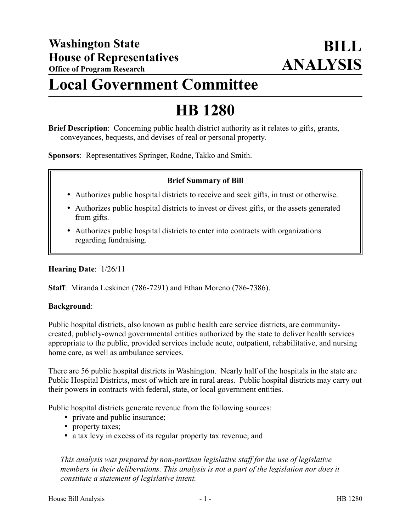# **Local Government Committee**

# **HB 1280**

**Brief Description**: Concerning public health district authority as it relates to gifts, grants, conveyances, bequests, and devises of real or personal property.

**Sponsors**: Representatives Springer, Rodne, Takko and Smith.

## **Brief Summary of Bill**

- Authorizes public hospital districts to receive and seek gifts, in trust or otherwise.
- Authorizes public hospital districts to invest or divest gifts, or the assets generated from gifts.
- Authorizes public hospital districts to enter into contracts with organizations regarding fundraising.

## **Hearing Date**: 1/26/11

**Staff**: Miranda Leskinen (786-7291) and Ethan Moreno (786-7386).

## **Background**:

Public hospital districts, also known as public health care service districts, are communitycreated, publicly-owned governmental entities authorized by the state to deliver health services appropriate to the public, provided services include acute, outpatient, rehabilitative, and nursing home care, as well as ambulance services.

There are 56 public hospital districts in Washington. Nearly half of the hospitals in the state are Public Hospital Districts, most of which are in rural areas. Public hospital districts may carry out their powers in contracts with federal, state, or local government entities.

Public hospital districts generate revenue from the following sources:

- private and public insurance;
- property taxes;

––––––––––––––––––––––

a tax levy in excess of its regular property tax revenue; and

*This analysis was prepared by non-partisan legislative staff for the use of legislative members in their deliberations. This analysis is not a part of the legislation nor does it constitute a statement of legislative intent.*